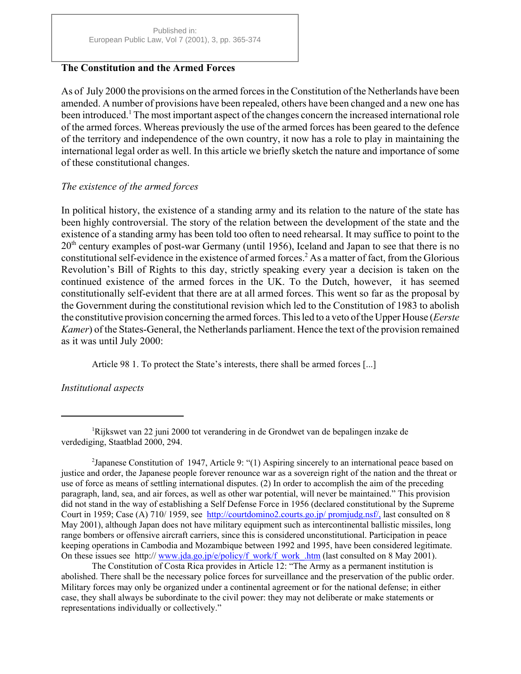## **The Constitution and the Armed Forces**

As of July 2000 the provisions on the armed forces in the Constitution of the Netherlands have been amended. A number of provisions have been repealed, others have been changed and a new one has been introduced.<sup>1</sup> The most important aspect of the changes concern the increased international role of the armed forces. Whereas previously the use of the armed forces has been geared to the defence of the territory and independence of the own country, it now has a role to play in maintaining the international legal order as well. In this article we briefly sketch the nature and importance of some of these constitutional changes.

# *The existence of the armed forces*

In political history, the existence of a standing army and its relation to the nature of the state has been highly controversial. The story of the relation between the development of the state and the existence of a standing army has been told too often to need rehearsal. It may suffice to point to the  $20<sup>th</sup>$  century examples of post-war Germany (until 1956), Iceland and Japan to see that there is no constitutional self-evidence in the existence of armed forces.<sup>2</sup> As a matter of fact, from the Glorious Revolution's Bill of Rights to this day, strictly speaking every year a decision is taken on the continued existence of the armed forces in the UK. To the Dutch, however, it has seemed constitutionally self-evident that there are at all armed forces. This went so far as the proposal by the Government during the constitutional revision which led to the Constitution of 1983 to abolish the constitutive provision concerning the armed forces. This led to a veto of the Upper House (*Eerste Kamer*) of the States-General, the Netherlands parliament. Hence the text of the provision remained as it was until July 2000:

Article 98 1. To protect the State's interests, there shall be armed forces [...]

*Institutional aspects* 

The Constitution of Costa Rica provides in Article 12: "The Army as a permanent institution is abolished. There shall be the necessary police forces for surveillance and the preservation of the public order. Military forces may only be organized under a continental agreement or for the national defense; in either case, they shall always be subordinate to the civil power: they may not deliberate or make statements or representations individually or collectively."

<sup>1</sup> Rijkswet van 22 juni 2000 tot verandering in de Grondwet van de bepalingen inzake de verdediging, Staatblad 2000, 294.

<sup>&</sup>lt;sup>2</sup>Japanese Constitution of 1947, Article 9: "(1) Aspiring sincerely to an international peace based on justice and order, the Japanese people forever renounce war as a sovereign right of the nation and the threat or use of force as means of settling international disputes. (2) In order to accomplish the aim of the preceding paragraph, land, sea, and air forces, as well as other war potential, will never be maintained." This provision did not stand in the way of establishing a Self Defense Force in 1956 (declared constitutional by the Supreme Court in 1959; Case (A) 710/ 1959, see http://courtdomino2.courts.go.jp/ promjudg.nsf/, last consulted on 8 May 2001), although Japan does not have military equipment such as intercontinental ballistic missiles, long range bombers or offensive aircraft carriers, since this is considered unconstitutional. Participation in peace keeping operations in Cambodia and Mozambique between 1992 and 1995, have been considered legitimate. On these issues see http://www.jda.go.jp/e/policy/f\_work/f\_work\_.htm (last consulted on 8 May 2001).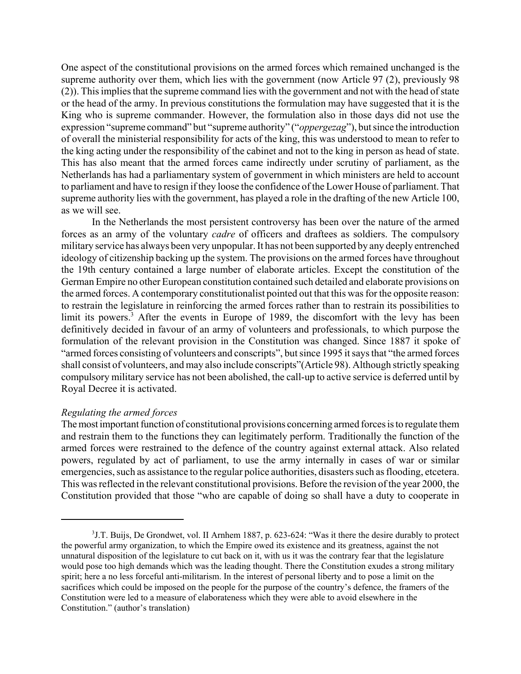One aspect of the constitutional provisions on the armed forces which remained unchanged is the supreme authority over them, which lies with the government (now Article 97 (2), previously 98 (2)). This implies that the supreme command lies with the government and not with the head of state or the head of the army. In previous constitutions the formulation may have suggested that it is the King who is supreme commander. However, the formulation also in those days did not use the expression "supreme command" but "supreme authority" ("*oppergezag*"), but since the introduction of overall the ministerial responsibility for acts of the king, this was understood to mean to refer to the king acting under the responsibility of the cabinet and not to the king in person as head of state. This has also meant that the armed forces came indirectly under scrutiny of parliament, as the Netherlands has had a parliamentary system of government in which ministers are held to account to parliament and have to resign if they loose the confidence of the Lower House of parliament. That supreme authority lies with the government, has played a role in the drafting of the new Article 100, as we will see.

In the Netherlands the most persistent controversy has been over the nature of the armed forces as an army of the voluntary *cadre* of officers and draftees as soldiers. The compulsory military service has always been very unpopular. It has not been supported by any deeply entrenched ideology of citizenship backing up the system. The provisions on the armed forces have throughout the 19th century contained a large number of elaborate articles. Except the constitution of the German Empire no other European constitution contained such detailed and elaborate provisions on the armed forces. A contemporary constitutionalist pointed out that this was for the opposite reason: to restrain the legislature in reinforcing the armed forces rather than to restrain its possibilities to limit its powers.<sup>3</sup> After the events in Europe of 1989, the discomfort with the levy has been definitively decided in favour of an army of volunteers and professionals, to which purpose the formulation of the relevant provision in the Constitution was changed. Since 1887 it spoke of "armed forces consisting of volunteers and conscripts", but since 1995 it says that "the armed forces shall consist of volunteers, and may also include conscripts"(Article 98). Although strictly speaking compulsory military service has not been abolished, the call-up to active service is deferred until by Royal Decree it is activated.

#### *Regulating the armed forces*

The most important function of constitutional provisions concerning armed forces is to regulate them and restrain them to the functions they can legitimately perform. Traditionally the function of the armed forces were restrained to the defence of the country against external attack. Also related powers, regulated by act of parliament, to use the army internally in cases of war or similar emergencies, such as assistance to the regular police authorities, disasters such as flooding, etcetera. This was reflected in the relevant constitutional provisions. Before the revision of the year 2000, the Constitution provided that those "who are capable of doing so shall have a duty to cooperate in

<sup>&</sup>lt;sup>3</sup>J.T. Buijs, De Grondwet, vol. II Arnhem 1887, p. 623-624: "Was it there the desire durably to protect the powerful army organization, to which the Empire owed its existence and its greatness, against the not unnatural disposition of the legislature to cut back on it, with us it was the contrary fear that the legislature would pose too high demands which was the leading thought. There the Constitution exudes a strong military spirit; here a no less forceful anti-militarism. In the interest of personal liberty and to pose a limit on the sacrifices which could be imposed on the people for the purpose of the country's defence, the framers of the Constitution were led to a measure of elaborateness which they were able to avoid elsewhere in the Constitution." (author's translation)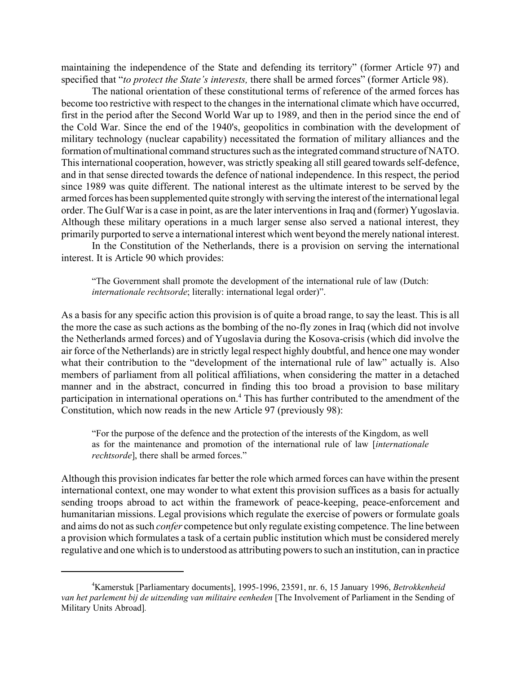maintaining the independence of the State and defending its territory" (former Article 97) and specified that "*to protect the State's interests,* there shall be armed forces" (former Article 98).

The national orientation of these constitutional terms of reference of the armed forces has become too restrictive with respect to the changes in the international climate which have occurred, first in the period after the Second World War up to 1989, and then in the period since the end of the Cold War. Since the end of the 1940's, geopolitics in combination with the development of military technology (nuclear capability) necessitated the formation of military alliances and the formation of multinational command structures such as the integrated command structure of NATO. This international cooperation, however, was strictly speaking all still geared towards self-defence, and in that sense directed towards the defence of national independence. In this respect, the period since 1989 was quite different. The national interest as the ultimate interest to be served by the armed forces has been supplemented quite strongly with serving the interest of the international legal order. The Gulf War is a case in point, as are the later interventions in Iraq and (former) Yugoslavia. Although these military operations in a much larger sense also served a national interest, they primarily purported to serve a international interest which went beyond the merely national interest.

In the Constitution of the Netherlands, there is a provision on serving the international interest. It is Article 90 which provides:

"The Government shall promote the development of the international rule of law (Dutch: *internationale rechtsorde*; literally: international legal order)".

As a basis for any specific action this provision is of quite a broad range, to say the least. This is all the more the case as such actions as the bombing of the no-fly zones in Iraq (which did not involve the Netherlands armed forces) and of Yugoslavia during the Kosova-crisis (which did involve the air force of the Netherlands) are in strictly legal respect highly doubtful, and hence one may wonder what their contribution to the "development of the international rule of law" actually is. Also members of parliament from all political affiliations, when considering the matter in a detached manner and in the abstract, concurred in finding this too broad a provision to base military participation in international operations on.<sup>4</sup> This has further contributed to the amendment of the Constitution, which now reads in the new Article 97 (previously 98):

"For the purpose of the defence and the protection of the interests of the Kingdom, as well as for the maintenance and promotion of the international rule of law [*internationale rechtsorde*], there shall be armed forces."

Although this provision indicates far better the role which armed forces can have within the present international context, one may wonder to what extent this provision suffices as a basis for actually sending troops abroad to act within the framework of peace-keeping, peace-enforcement and humanitarian missions. Legal provisions which regulate the exercise of powers or formulate goals and aims do not as such *confer* competence but only regulate existing competence. The line between a provision which formulates a task of a certain public institution which must be considered merely regulative and one which is to understood as attributing powers to such an institution, can in practice

<sup>4</sup> Kamerstuk [Parliamentary documents], 1995-1996, 23591, nr. 6, 15 January 1996, *Betrokkenheid van het parlement bij de uitzending van militaire eenheden* [The Involvement of Parliament in the Sending of Military Units Abroad]*.*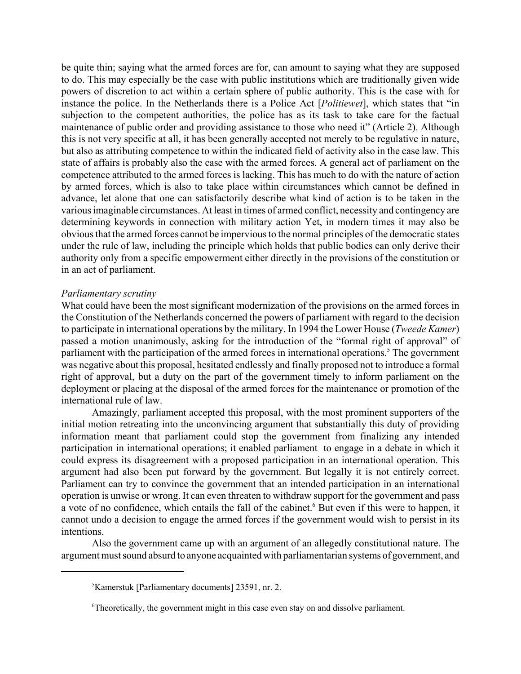be quite thin; saying what the armed forces are for, can amount to saying what they are supposed to do. This may especially be the case with public institutions which are traditionally given wide powers of discretion to act within a certain sphere of public authority. This is the case with for instance the police. In the Netherlands there is a Police Act [*Politiewet*], which states that "in subjection to the competent authorities, the police has as its task to take care for the factual maintenance of public order and providing assistance to those who need it" (Article 2). Although this is not very specific at all, it has been generally accepted not merely to be regulative in nature, but also as attributing competence to within the indicated field of activity also in the case law. This state of affairs is probably also the case with the armed forces. A general act of parliament on the competence attributed to the armed forces is lacking. This has much to do with the nature of action by armed forces, which is also to take place within circumstances which cannot be defined in advance, let alone that one can satisfactorily describe what kind of action is to be taken in the various imaginable circumstances. At least in times of armed conflict, necessity and contingency are determining keywords in connection with military action Yet, in modern times it may also be obvious that the armed forces cannot be impervious to the normal principles of the democratic states under the rule of law, including the principle which holds that public bodies can only derive their authority only from a specific empowerment either directly in the provisions of the constitution or in an act of parliament.

#### *Parliamentary scrutiny*

What could have been the most significant modernization of the provisions on the armed forces in the Constitution of the Netherlands concerned the powers of parliament with regard to the decision to participate in international operations by the military. In 1994 the Lower House (*Tweede Kamer*) passed a motion unanimously, asking for the introduction of the "formal right of approval" of parliament with the participation of the armed forces in international operations.<sup>5</sup> The government was negative about this proposal, hesitated endlessly and finally proposed not to introduce a formal right of approval, but a duty on the part of the government timely to inform parliament on the deployment or placing at the disposal of the armed forces for the maintenance or promotion of the international rule of law.

Amazingly, parliament accepted this proposal, with the most prominent supporters of the initial motion retreating into the unconvincing argument that substantially this duty of providing information meant that parliament could stop the government from finalizing any intended participation in international operations; it enabled parliament to engage in a debate in which it could express its disagreement with a proposed participation in an international operation. This argument had also been put forward by the government. But legally it is not entirely correct. Parliament can try to convince the government that an intended participation in an international operation is unwise or wrong. It can even threaten to withdraw support for the government and pass a vote of no confidence, which entails the fall of the cabinet.<sup>6</sup> But even if this were to happen, it cannot undo a decision to engage the armed forces if the government would wish to persist in its intentions.

Also the government came up with an argument of an allegedly constitutional nature. The argument must sound absurd to anyone acquainted with parliamentarian systems of government, and

<sup>5</sup> Kamerstuk [Parliamentary documents] 23591, nr. 2.

<sup>6</sup> Theoretically, the government might in this case even stay on and dissolve parliament.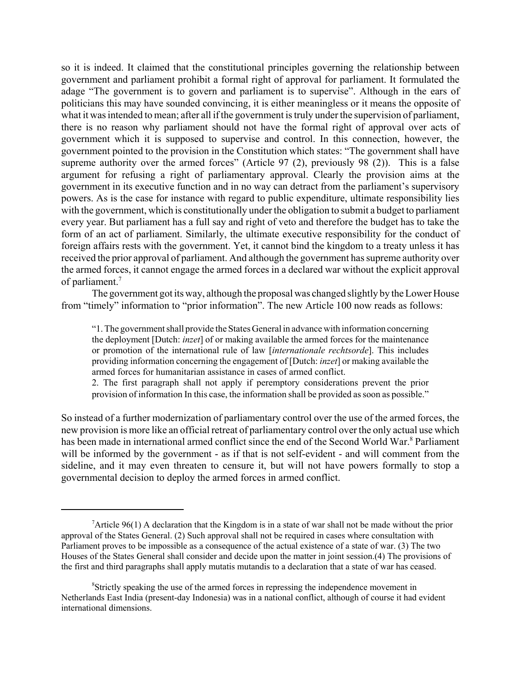so it is indeed. It claimed that the constitutional principles governing the relationship between government and parliament prohibit a formal right of approval for parliament. It formulated the adage "The government is to govern and parliament is to supervise". Although in the ears of politicians this may have sounded convincing, it is either meaningless or it means the opposite of what it was intended to mean; after all if the government is truly under the supervision of parliament, there is no reason why parliament should not have the formal right of approval over acts of government which it is supposed to supervise and control. In this connection, however, the government pointed to the provision in the Constitution which states: "The government shall have supreme authority over the armed forces" (Article 97 (2), previously 98 (2)). This is a false argument for refusing a right of parliamentary approval. Clearly the provision aims at the government in its executive function and in no way can detract from the parliament's supervisory powers. As is the case for instance with regard to public expenditure, ultimate responsibility lies with the government, which is constitutionally under the obligation to submit a budget to parliament every year. But parliament has a full say and right of veto and therefore the budget has to take the form of an act of parliament. Similarly, the ultimate executive responsibility for the conduct of foreign affairs rests with the government. Yet, it cannot bind the kingdom to a treaty unless it has received the prior approval of parliament. And although the government has supreme authority over the armed forces, it cannot engage the armed forces in a declared war without the explicit approval of parliament.7

The government got its way, although the proposal was changed slightly by the Lower House from "timely" information to "prior information". The new Article 100 now reads as follows:

"1. The government shall provide the States General in advance with information concerning the deployment [Dutch: *inzet*] of or making available the armed forces for the maintenance or promotion of the international rule of law [*internationale rechtsorde*]. This includes providing information concerning the engagement of [Dutch: *inzet*] or making available the armed forces for humanitarian assistance in cases of armed conflict.

2. The first paragraph shall not apply if peremptory considerations prevent the prior provision of information In this case, the information shall be provided as soon as possible."

So instead of a further modernization of parliamentary control over the use of the armed forces, the new provision is more like an official retreat of parliamentary control over the only actual use which has been made in international armed conflict since the end of the Second World War.<sup>8</sup> Parliament will be informed by the government - as if that is not self-evident - and will comment from the sideline, and it may even threaten to censure it, but will not have powers formally to stop a governmental decision to deploy the armed forces in armed conflict.

<sup>&</sup>lt;sup>7</sup> Article 96(1) A declaration that the Kingdom is in a state of war shall not be made without the prior approval of the States General. (2) Such approval shall not be required in cases where consultation with Parliament proves to be impossible as a consequence of the actual existence of a state of war. (3) The two Houses of the States General shall consider and decide upon the matter in joint session.(4) The provisions of the first and third paragraphs shall apply mutatis mutandis to a declaration that a state of war has ceased.

<sup>&</sup>lt;sup>8</sup>Strictly speaking the use of the armed forces in repressing the independence movement in Netherlands East India (present-day Indonesia) was in a national conflict, although of course it had evident international dimensions.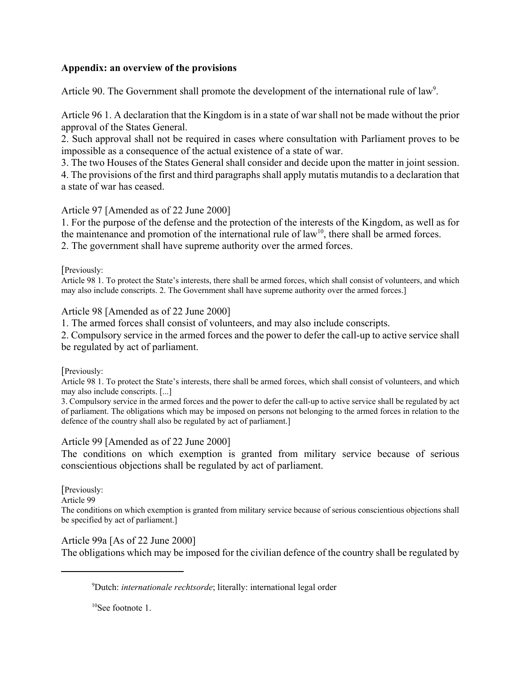# **Appendix: an overview of the provisions**

Article 90. The Government shall promote the development of the international rule of law<sup>9</sup>.

Article 96 1. A declaration that the Kingdom is in a state of war shall not be made without the prior approval of the States General.

2. Such approval shall not be required in cases where consultation with Parliament proves to be impossible as a consequence of the actual existence of a state of war.

3. The two Houses of the States General shall consider and decide upon the matter in joint session.

4. The provisions of the first and third paragraphs shall apply mutatis mutandis to a declaration that a state of war has ceased.

Article 97 [Amended as of 22 June 2000]

1. For the purpose of the defense and the protection of the interests of the Kingdom, as well as for the maintenance and promotion of the international rule of  $law<sup>10</sup>$ , there shall be armed forces. 2. The government shall have supreme authority over the armed forces.

[Previously:

Article 98 1. To protect the State's interests, there shall be armed forces, which shall consist of volunteers, and which may also include conscripts. 2. The Government shall have supreme authority over the armed forces.]

## Article 98 [Amended as of 22 June 2000]

1. The armed forces shall consist of volunteers, and may also include conscripts.

2. Compulsory service in the armed forces and the power to defer the call-up to active service shall be regulated by act of parliament.

[Previously:

Article 98 1. To protect the State's interests, there shall be armed forces, which shall consist of volunteers, and which may also include conscripts. [...]

3. Compulsory service in the armed forces and the power to defer the call-up to active service shall be regulated by act of parliament. The obligations which may be imposed on persons not belonging to the armed forces in relation to the defence of the country shall also be regulated by act of parliament.]

## Article 99 [Amended as of 22 June 2000]

The conditions on which exemption is granted from military service because of serious conscientious objections shall be regulated by act of parliament.

[Previously:

Article 99

The conditions on which exemption is granted from military service because of serious conscientious objections shall be specified by act of parliament.]

Article 99a [As of 22 June 2000]

The obligations which may be imposed for the civilian defence of the country shall be regulated by

9 Dutch: *internationale rechtsorde*; literally: international legal order

<sup>10</sup>See footnote 1.